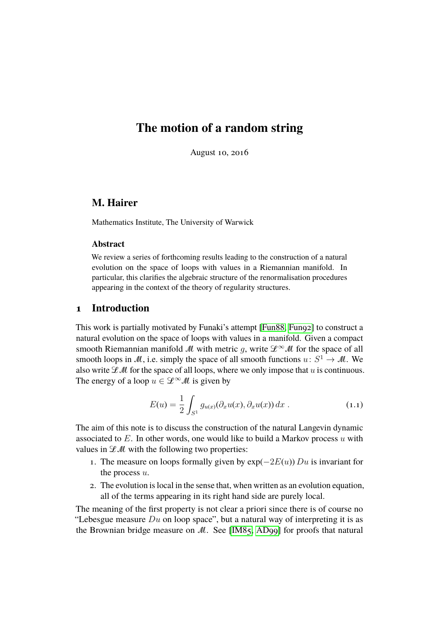# **The motion of a random string**

August 10, 2016

# **M. Hairer**

Mathematics Institute, The University of Warwick

# **Abstract**

We review a series of forthcoming results leading to the construction of a natural evolution on the space of loops with values in a Riemannian manifold. In particular, this clarifies the algebraic structure of the renormalisation procedures appearing in the context of the theory of regularity structures.

# **1 Introduction**

This work is partially motivated by Funaki's attempt [\[Fun88,](#page-17-0) [Fun92\]](#page-17-1) to construct a natural evolution on the space of loops with values in a manifold. Given a compact smooth Riemannian manifold M with metric q, write  $\mathscr{L}^{\infty}M$  for the space of all smooth loops in M, i.e. simply the space of all smooth functions  $u: S^1 \to M$ . We also write  $L^{\mathcal{A}}$  for the space of all loops, where we only impose that u is continuous. The energy of a loop  $u \in \mathcal{L}^{\infty}M$  is given by

<span id="page-0-0"></span>
$$
E(u) = \frac{1}{2} \int_{S^1} g_{u(x)}(\partial_x u(x), \partial_x u(x)) dx .
$$
 (1.1)

The aim of this note is to discuss the construction of the natural Langevin dynamic associated to  $E$ . In other words, one would like to build a Markov process  $u$  with values in  $L^{\mathcal{U}}$  with the following two properties:

- 1. The measure on loops formally given by  $exp(-2E(u))$  Du is invariant for the process  $u$ .
- 2. The evolution is local in the sense that, when written as an evolution equation, all of the terms appearing in its right hand side are purely local.

The meaning of the first property is not clear a priori since there is of course no "Lebesgue measure  $Du$  on loop space", but a natural way of interpreting it is as the Brownian bridge measure on  $M$ . See [\[IM85,](#page-18-0) [AD99\]](#page-16-0) for proofs that natural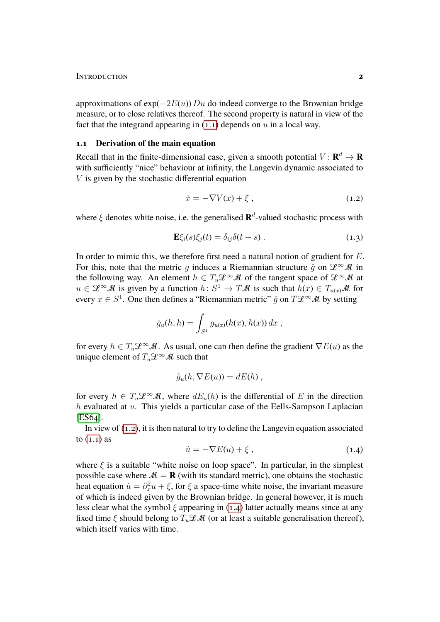approximations of  $exp(-2E(u))$  Du do indeed converge to the Brownian bridge measure, or to close relatives thereof. The second property is natural in view of the fact that the integrand appearing in  $(1.1)$  depends on u in a local way.

### **1.1 Derivation of the main equation**

Recall that in the finite-dimensional case, given a smooth potential  $V: \mathbf{R}^d \to \mathbf{R}$ with sufficiently "nice" behaviour at infinity, the Langevin dynamic associated to  $V$  is given by the stochastic differential equation

<span id="page-1-2"></span><span id="page-1-0"></span>
$$
\dot{x} = -\nabla V(x) + \xi \,,\tag{1.2}
$$

where  $\xi$  denotes white noise, i.e. the generalised  $\mathbf{R}^d$ -valued stochastic process with

$$
\mathbf{E}\xi_i(s)\xi_j(t) = \delta_{ij}\delta(t-s) \,. \tag{1.3}
$$

In order to mimic this, we therefore first need a natural notion of gradient for E. For this, note that the metric q induces a Riemannian structure  $\hat{q}$  on  $\mathcal{L}^{\infty}M$  in the following way. An element  $h \in T_u\mathcal{L}^\infty\mathcal{M}$  of the tangent space of  $\mathcal{L}^\infty\mathcal{M}$  at  $u \in \mathscr{L}^{\infty}(\mathcal{M})$  is given by a function  $h: S^1 \to T\mathcal{M}$  is such that  $h(x) \in T_{u(x)}\mathcal{M}$  for every  $x \in S^1$ . One then defines a "Riemannian metric"  $\hat{g}$  on  $T\mathcal{L}^{\infty}M$  by setting

$$
\hat{g}_u(h, h) = \int_{S^1} g_{u(x)}(h(x), h(x)) dx ,
$$

for every  $h \in T_u \mathcal{L}^\infty \mathcal{M}$ . As usual, one can then define the gradient  $\nabla E(u)$  as the unique element of  $T_u \mathcal{L}^\infty \mathcal{M}$  such that

$$
\hat{g}_u(h, \nabla E(u)) = dE(h) ,
$$

for every  $h \in T_u \mathcal{L}^\infty \mathcal{M}$ , where  $dE_u(h)$  is the differential of E in the direction  $h$  evaluated at  $u$ . This yields a particular case of the Eells-Sampson Laplacian [\[ES64\]](#page-17-2).

In view of [\(1.2\)](#page-1-0), it is then natural to try to define the Langevin equation associated to  $(1.1)$  as

<span id="page-1-1"></span>
$$
\dot{u} = -\nabla E(u) + \xi \,, \tag{1.4}
$$

where  $\xi$  is a suitable "white noise on loop space". In particular, in the simplest possible case where  $M = \mathbf{R}$  (with its standard metric), one obtains the stochastic heat equation  $\dot{u} = \partial_x^2 u + \xi$ , for  $\xi$  a space-time white noise, the invariant measure of which is indeed given by the Brownian bridge. In general however, it is much less clear what the symbol  $\xi$  appearing in [\(1.4\)](#page-1-1) latter actually means since at any fixed time  $\xi$  should belong to  $T_u\mathcal{LM}$  (or at least a suitable generalisation thereof), which itself varies with time.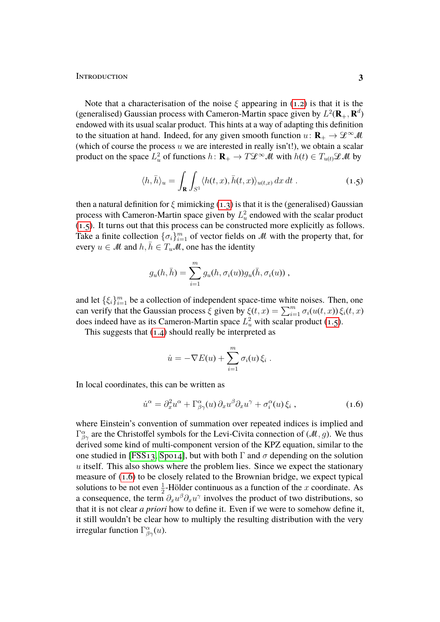Note that a characterisation of the noise  $\xi$  appearing in [\(1.2\)](#page-1-0) is that it is the (generalised) Gaussian process with Cameron-Martin space given by  $L^2(\mathbf{R}_+,\mathbf{R}^d)$ endowed with its usual scalar product. This hints at a way of adapting this definition to the situation at hand. Indeed, for any given smooth function  $u: \mathbf{R}_{+} \to \mathcal{L}^{\infty} \mathcal{M}$ (which of course the process  $u$  we are interested in really isn't!), we obtain a scalar product on the space  $L^2_u$  of functions  $h: \mathbf{R}_+ \to T\mathcal{L}^\infty\mathcal{M}$  with  $h(t) \in T_{u(t)}\mathcal{L}\mathcal{M}$  by

<span id="page-2-0"></span>
$$
\langle h, \bar{h} \rangle_u = \int_{\mathbf{R}} \int_{S^1} \langle h(t, x), \bar{h}(t, x) \rangle_{u(t, x)} dx dt . \qquad (1.5)
$$

then a natural definition for  $\xi$  mimicking [\(1.3\)](#page-1-2) is that it is the (generalised) Gaussian process with Cameron-Martin space given by  $L<sub>u</sub><sup>2</sup>$  endowed with the scalar product [\(1.5\)](#page-2-0). It turns out that this process can be constructed more explicitly as follows. Take a finite collection  $\{\sigma_i\}_{i=1}^m$  of vector fields on M with the property that, for every  $u \in M$  and  $h, h \in T_uM$ , one has the identity

$$
g_u(h,\bar{h}) = \sum_{i=1}^m g_u(h,\sigma_i(u))g_u(\bar{h},\sigma_i(u)),
$$

and let  $\{\xi_i\}_{i=1}^m$  be a collection of independent space-time white noises. Then, one can verify that the Gaussian process  $\xi$  given by  $\xi(t, x) = \sum_{i=1}^{m} \sigma_i(u(t, x)) \xi_i(t, x)$ does indeed have as its Cameron-Martin space  $L<sub>u</sub><sup>2</sup>$  with scalar product [\(1.5\)](#page-2-0).

This suggests that [\(1.4\)](#page-1-1) should really be interpreted as

<span id="page-2-1"></span>
$$
\dot{u} = -\nabla E(u) + \sum_{i=1}^m \sigma_i(u) \xi_i.
$$

In local coordinates, this can be written as

$$
\dot{u}^{\alpha} = \partial_x^2 u^{\alpha} + \Gamma^{\alpha}_{\beta\gamma}(u) \partial_x u^{\beta} \partial_x u^{\gamma} + \sigma_i^{\alpha}(u) \xi_i , \qquad (1.6)
$$

where Einstein's convention of summation over repeated indices is implied and  $\Gamma^{\alpha}_{\beta\gamma}$  are the Christoffel symbols for the Levi-Civita connection of  $(M, g)$ . We thus derived some kind of multi-component version of the KPZ equation, similar to the one studied in [\[FSS13,](#page-17-3) [Spo14\]](#page-18-1), but with both  $\Gamma$  and  $\sigma$  depending on the solution  $u$  itself. This also shows where the problem lies. Since we expect the stationary measure of [\(1.6\)](#page-2-1) to be closely related to the Brownian bridge, we expect typical solutions to be not even  $\frac{1}{2}$ -Hölder continuous as a function of the x coordinate. As a consequence, the term  $\partial_x u^{\beta} \partial_x u^{\gamma}$  involves the product of two distributions, so that it is not clear *a priori* how to define it. Even if we were to somehow define it, it still wouldn't be clear how to multiply the resulting distribution with the very irregular function  $\Gamma^{\alpha}_{\beta\gamma}(u)$ .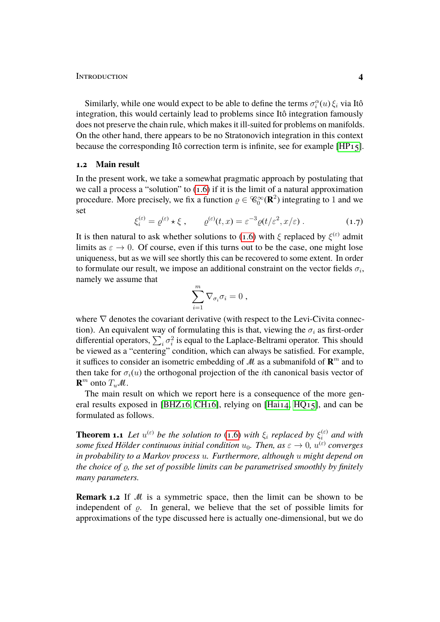Similarly, while one would expect to be able to define the terms  $\sigma_i^{\alpha}(u) \xi_i$  via Itô integration, this would certainly lead to problems since Itô integration famously does not preserve the chain rule, which makes it ill-suited for problems on manifolds. On the other hand, there appears to be no Stratonovich integration in this context because the corresponding Itô correction term is infinite, see for example [\[HP15\]](#page-18-2).

#### **1.2 Main result**

In the present work, we take a somewhat pragmatic approach by postulating that we call a process a "solution" to [\(1.6\)](#page-2-1) if it is the limit of a natural approximation procedure. More precisely, we fix a function  $\varrho \in \mathcal{C}_0^{\infty}(\mathbf{R}^2)$  integrating to 1 and we set

$$
\xi_i^{(\varepsilon)} = \varrho^{(\varepsilon)} \star \xi \;, \qquad \varrho^{(\varepsilon)}(t,x) = \varepsilon^{-3} \varrho(t/\varepsilon^2, x/\varepsilon) \;.
$$
 (1.7)

It is then natural to ask whether solutions to [\(1.6\)](#page-2-1) with  $\xi$  replaced by  $\xi^{(\varepsilon)}$  admit limits as  $\varepsilon \to 0$ . Of course, even if this turns out to be the case, one might lose uniqueness, but as we will see shortly this can be recovered to some extent. In order to formulate our result, we impose an additional constraint on the vector fields  $\sigma_i$ , namely we assume that

<span id="page-3-1"></span>
$$
\sum_{i=1}^m \nabla_{\sigma_i} \sigma_i = 0 ,
$$

where  $\nabla$  denotes the covariant derivative (with respect to the Levi-Civita connection). An equivalent way of formulating this is that, viewing the  $\sigma_i$  as first-order differential operators,  $\sum_i \sigma_i^2$  is equal to the Laplace-Beltrami operator. This should be viewed as a "centering" condition, which can always be satisfied. For example, it suffices to consider an isometric embedding of  $\mathcal{M}$  as a submanifold of  $\mathbf{R}^m$  and to then take for  $\sigma_i(u)$  the orthogonal projection of the *i*th canonical basis vector of **R**<sup>*m*</sup> onto  $T_u$ *M*.

The main result on which we report here is a consequence of the more general results exposed in [\[BHZ16,](#page-16-1) [CH16\]](#page-17-4), relying on [\[Hai14,](#page-18-3) [HQ15\]](#page-18-4), and can be formulated as follows.

<span id="page-3-0"></span>**Theorem 1.1** Let  $u^{(\varepsilon)}$  be the solution to [\(1.6\)](#page-2-1) with  $\xi_i$  replaced by  $\xi_i^{(\varepsilon)}$  $a_i^{(\varepsilon)}$  and with *some fixed Hölder continuous initial condition*  $u_0$ *. Then, as*  $\varepsilon \to 0$ *,*  $u^{(\varepsilon)}$  *converges in probability to a Markov process* u*. Furthermore, although* u *might depend on the choice of*  $\rho$ *, the set of possible limits can be parametrised smoothly by finitely many parameters.*

**Remark 1.2** If M is a symmetric space, then the limit can be shown to be independent of  $\rho$ . In general, we believe that the set of possible limits for approximations of the type discussed here is actually one-dimensional, but we do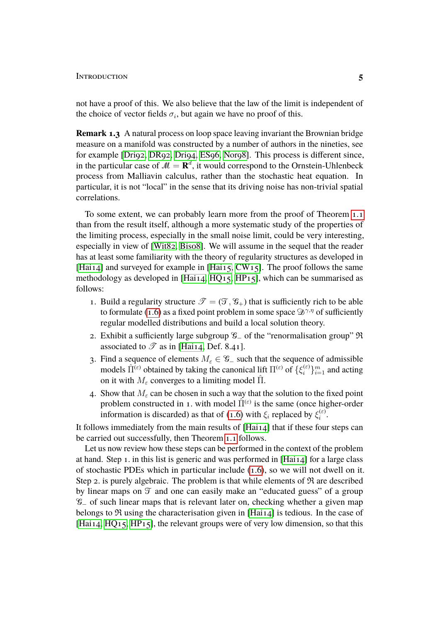not have a proof of this. We also believe that the law of the limit is independent of the choice of vector fields  $\sigma_i$ , but again we have no proof of this.

**Remark 1.3** A natural process on loop space leaving invariant the Brownian bridge measure on a manifold was constructed by a number of authors in the nineties, see for example [\[Dri92,](#page-17-5) [DR92,](#page-17-6) [Dri94,](#page-17-7) [ES96,](#page-17-8) [Nor98\]](#page-18-5). This process is different since, in the particular case of  $M = \mathbf{R}^d$ , it would correspond to the Ornstein-Uhlenbeck process from Malliavin calculus, rather than the stochastic heat equation. In particular, it is not "local" in the sense that its driving noise has non-trivial spatial correlations.

To some extent, we can probably learn more from the proof of Theorem [1.1](#page-3-0) than from the result itself, although a more systematic study of the properties of the limiting process, especially in the small noise limit, could be very interesting, especially in view of [\[Wit82,](#page-18-6) [Bis08\]](#page-16-2). We will assume in the sequel that the reader has at least some familiarity with the theory of regularity structures as developed in [\[Hai14\]](#page-18-3) and surveyed for example in [\[Hai15,](#page-18-7) [CW15\]](#page-17-9). The proof follows the same methodology as developed in [\[Hai14,](#page-18-3) [HQ15,](#page-18-4) [HP15\]](#page-18-2), which can be summarised as follows:

- 1. Build a regularity structure  $\mathscr{T} = (\mathscr{T}, \mathscr{C}_+)$  that is sufficiently rich to be able to formulate [\(1.6\)](#page-2-1) as a fixed point problem in some space  $\mathcal{D}^{\gamma,\eta}$  of sufficiently regular modelled distributions and build a local solution theory.
- 2. Exhibit a sufficiently large subgroup  $\mathcal{G}$  of the "renormalisation group" R associated to  $\mathscr T$  as in [\[Hai14,](#page-18-3) Def. 8.41].
- 3. Find a sequence of elements  $M_\varepsilon \in \mathcal{G}_-$  such that the sequence of admissible models  $\hat{\Pi}^{(\varepsilon)}$  obtained by taking the canonical lift  $\Pi^{(\varepsilon)}$  of  $\{\xi_i^{(\varepsilon)}\}$  $\{e^{i\epsilon}\}_{i=1}^m$  and acting on it with  $M_{\varepsilon}$  converges to a limiting model  $\hat{\Pi}$ .
- 4. Show that  $M_{\epsilon}$  can be chosen in such a way that the solution to the fixed point problem constructed in 1. with model  $\hat{\Pi}^{(\varepsilon)}$  is the same (once higher-order information is discarded) as that of [\(1.6\)](#page-2-1) with  $\xi_i$  replaced by  $\xi_i^{(\varepsilon)}$  $\frac{1}{i}$ .

It follows immediately from the main results of [\[Hai14\]](#page-18-3) that if these four steps can be carried out successfully, then Theorem [1.1](#page-3-0) follows.

Let us now review how these steps can be performed in the context of the problem at hand. Step 1. in this list is generic and was performed in [\[Hai14\]](#page-18-3) for a large class of stochastic PDEs which in particular include [\(1.6\)](#page-2-1), so we will not dwell on it. Step 2. is purely algebraic. The problem is that while elements of  $\Re$  are described by linear maps on  $\mathcal T$  and one can easily make an "educated guess" of a group G<sup>−</sup> of such linear maps that is relevant later on, checking whether a given map belongs to  $\Re$  using the characterisation given in [Hai<sub>14</sub>] is tedious. In the case of [Hai<sub>14</sub>, HQ<sub>15</sub>, HP<sub>15</sub>], the relevant groups were of very low dimension, so that this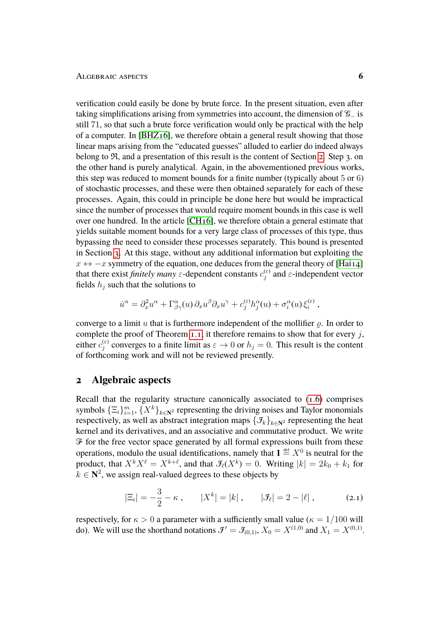verification could easily be done by brute force. In the present situation, even after taking simplifications arising from symmetries into account, the dimension of G<sup>−</sup> is still 71, so that such a brute force verification would only be practical with the help of a computer. In [\[BHZ16\]](#page-16-1), we therefore obtain a general result showing that those linear maps arising from the "educated guesses" alluded to earlier do indeed always belong to  $\mathfrak{R}$ , and a presentation of this result is the content of Section [2.](#page-5-0) Step 3. on the other hand is purely analytical. Again, in the abovementioned previous works, this step was reduced to moment bounds for a finite number (typically about 5 or 6) of stochastic processes, and these were then obtained separately for each of these processes. Again, this could in principle be done here but would be impractical since the number of processes that would require moment bounds in this case is well over one hundred. In the article [\[CH16\]](#page-17-4), we therefore obtain a general estimate that yields suitable moment bounds for a very large class of processes of this type, thus bypassing the need to consider these processes separately. This bound is presented in Section [3.](#page-12-0) At this stage, without any additional information but exploiting the  $x \leftrightarrow -x$  symmetry of the equation, one deduces from the general theory of [\[Hai14\]](#page-18-3) that there exist *finitely many*  $\varepsilon$ -dependent constants  $c_i^{(\varepsilon)}$  $j_j^{(\varepsilon)}$  and  $\varepsilon$ -independent vector fields  $h_j$  such that the solutions to

$$
\dot{u}^{\alpha} = \partial_x^2 u^{\alpha} + \Gamma^{\alpha}_{\beta\gamma}(u) \partial_x u^{\beta} \partial_x u^{\gamma} + c_j^{(\varepsilon)} h_j^{\alpha}(u) + \sigma_i^{\alpha}(u) \xi_i^{(\varepsilon)},
$$

converge to a limit u that is furthermore independent of the mollifier  $\rho$ . In order to complete the proof of Theorem [1.1,](#page-3-0) it therefore remains to show that for every  $j$ , either  $c_i^{(\varepsilon)}$  $j_j^{(\varepsilon)}$  converges to a finite limit as  $\varepsilon \to 0$  or  $h_j = 0$ . This result is the content of forthcoming work and will not be reviewed presently.

# <span id="page-5-0"></span>**2 Algebraic aspects**

Recall that the regularity structure canonically associated to [\(1.6\)](#page-2-1) comprises symbols  $\{\Xi_i\}_{i=1}^m$ ,  $\{X^k\}_{k\in\mathbb{N}^2}$  representing the driving noises and Taylor monomials respectively, as well as abstract integration maps  $\{\mathcal{I}_k\}_{k\in\mathbb{N}^2}$  representing the heat kernel and its derivatives, and an associative and commutative product. We write  $F$  for the free vector space generated by all formal expressions built from these operations, modulo the usual identifications, namely that  $\mathbf{1} \stackrel{\text{\tiny def}}{=} X^0$  is neutral for the product, that  $X^k X^\ell = X^{k+\ell}$ , and that  $\mathcal{F}_\ell(X^k) = 0$ . Writing  $|k| = 2k_0 + k_1$  for  $\bar{k} \in \mathbb{N}^2$ , we assign real-valued degrees to these objects by

<span id="page-5-1"></span>
$$
|\Xi_i| = -\frac{3}{2} - \kappa , \qquad |X^k| = |k| , \qquad |\mathcal{F}_\ell| = 2 - |\ell| , \qquad (2.1)
$$

respectively, for  $\kappa > 0$  a parameter with a sufficiently small value ( $\kappa = 1/100$  will do). We will use the shorthand notations  $\mathcal{J}' = \mathcal{J}_{(0,1)}$ ,  $X_0 = X^{(1,0)}$  and  $X_1 = X^{(0,1)}$ .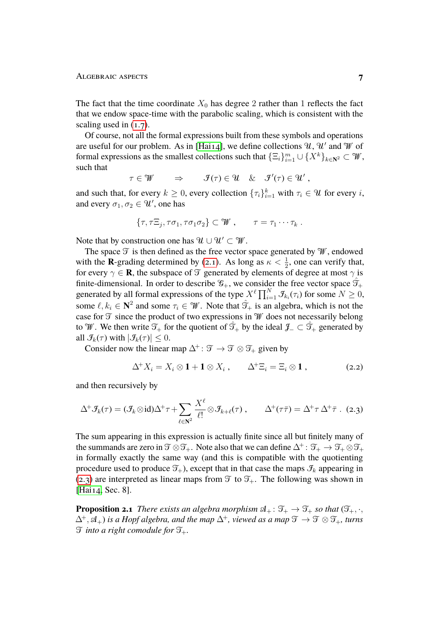The fact that the time coordinate  $X_0$  has degree 2 rather than 1 reflects the fact that we endow space-time with the parabolic scaling, which is consistent with the scaling used in  $(1.7)$ .

Of course, not all the formal expressions built from these symbols and operations are useful for our problem. As in [\[Hai14\]](#page-18-3), we define collections  $\mathcal{U}, \mathcal{U}'$  and  $\mathcal{W}$  of formal expressions as the smallest collections such that  $\{\Xi_i\}_{i=1}^m \cup \{X^k\}_{k\in \mathbb{N}^2} \subset \mathcal{W}$ , such that

$$
\tau \in \mathscr{W} \qquad \Rightarrow \qquad \mathscr{F}(\tau) \in \mathscr{U} \quad \& \quad \mathscr{F}'(\tau) \in \mathscr{U}' ,
$$

and such that, for every  $k \geq 0$ , every collection  $\{\tau_i\}_{i=1}^k$  with  $\tau_i \in \mathcal{U}$  for every i, and every  $\sigma_1, \sigma_2 \in \mathcal{U}'$ , one has

$$
\{\tau, \tau \Xi_j, \tau \sigma_1, \tau \sigma_1 \sigma_2\} \subset \mathcal{W}, \qquad \tau = \tau_1 \cdots \tau_k.
$$

Note that by construction one has  $\mathcal{U} \cup \mathcal{U}' \subset \mathcal{W}$ .

The space  $\mathfrak T$  is then defined as the free vector space generated by  $\mathcal W$ , endowed with the **R**-grading determined by [\(2.1\)](#page-5-1). As long as  $\kappa < \frac{1}{2}$ , one can verify that, for every  $\gamma \in \mathbf{R}$ , the subspace of  $\mathcal{T}$  generated by elements of degree at most  $\gamma$  is finite-dimensional. In order to describe  $\mathcal{G}_+$ , we consider the free vector space  $\mathcal{T}_+$ generated by all formal expressions of the type  $X^{\ell} \prod_{i=1}^{N} \mathcal{F}_{k_i}(\tau_i)$  for some  $N \geq 0$ , some  $\ell, k_i \in \mathbb{N}^2$  and some  $\tau_i \in \mathcal{W}$ . Note that  $\hat{\mathcal{T}}_+$  is an algebra, which is not the case for  $\mathfrak T$  since the product of two expressions in  $\mathcal W$  does not necessarily belong to W. We then write  $\mathfrak{T}_+$  for the quotient of  $\hat{\mathfrak{T}}_+$  by the ideal  $\mathfrak{J}_- \subset \hat{\mathfrak{T}}_+$  generated by all  $\mathcal{I}_k(\tau)$  with  $|\mathcal{I}_k(\tau)| \leq 0$ .

Consider now the linear map  $\Delta^+$ :  $\mathcal{T} \to \mathcal{T} \otimes \mathcal{T}_+$  given by

<span id="page-6-2"></span><span id="page-6-0"></span>
$$
\Delta^+ X_i = X_i \otimes \mathbf{1} + \mathbf{1} \otimes X_i , \qquad \Delta^+ \Xi_i = \Xi_i \otimes \mathbf{1} , \qquad (2.2)
$$

and then recursively by

$$
\Delta^+ \mathcal{F}_k(\tau) = (\mathcal{F}_k \otimes id) \Delta^+ \tau + \sum_{\ell \in \mathbb{N}^2} \frac{X^{\ell}}{\ell!} \otimes \mathcal{F}_{k+\ell}(\tau) , \qquad \Delta^+ (\tau \bar{\tau}) = \Delta^+ \tau \Delta^+ \bar{\tau} . \tag{2.3}
$$

The sum appearing in this expression is actually finite since all but finitely many of the summands are zero in  $\mathfrak{T} \otimes \mathfrak{T}_+$ . Note also that we can define  $\Delta^+ : \mathfrak{T}_+ \to \mathfrak{T}_+ \otimes \mathfrak{T}_+$ in formally exactly the same way (and this is compatible with the quotienting procedure used to produce  $\mathcal{T}_+$ ), except that in that case the maps  $\mathcal{I}_k$  appearing in [\(2.3\)](#page-6-0) are interpreted as linear maps from  $\mathfrak T$  to  $\mathfrak T_+$ . The following was shown in [Hai<sub>14</sub>, Sec. 8].

<span id="page-6-1"></span>**Proposition 2.1** *There exists an algebra morphism*  $\mathfrak{A}_+$ :  $\mathfrak{T}_+ \to \mathfrak{T}_+$  *so that*  $(\mathfrak{T}_+,\cdot,\cdot)$  $\Delta^+$ ,  $\mathfrak{A}_+$ ) *is a Hopf algebra, and the map*  $\Delta^+$ *, viewed as a map*  $\mathfrak{I} \to \mathfrak{I} \otimes \mathfrak{I}_+$ *, turns*  $\mathfrak I$  *into a right comodule for*  $\mathfrak I_+$ *.*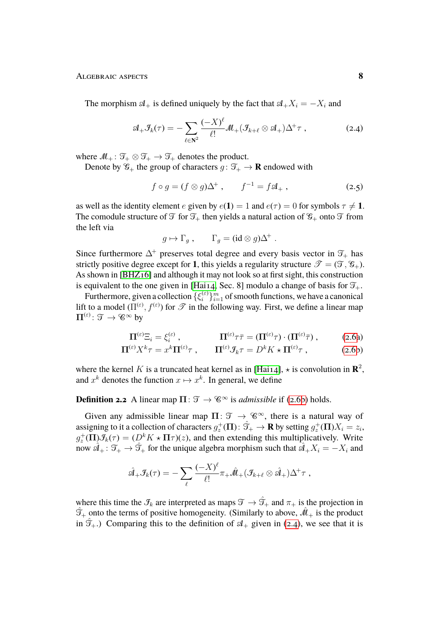The morphism  $A_+$  is defined uniquely by the fact that  $A_+X_i = -X_i$  and

$$
\mathcal{A}_+\mathcal{F}_k(\tau) = -\sum_{\ell \in \mathbb{N}^2} \frac{(-X)^{\ell}}{\ell!} \mathcal{M}_+(\mathcal{F}_{k+\ell} \otimes \mathcal{A}_+) \Delta^+ \tau , \qquad (2.4)
$$

where  $M_+$ :  $\mathcal{T}_+ \otimes \mathcal{T}_+ \to \mathcal{T}_+$  denotes the product.

Denote by  $\mathcal{G}_+$  the group of characters  $g: \mathcal{T}_+ \to \mathbf{R}$  endowed with

<span id="page-7-1"></span>
$$
f \circ g = (f \otimes g)\Delta^+, \qquad f^{-1} = f\mathfrak{A}_+, \qquad (2.5)
$$

as well as the identity element e given by  $e(1) = 1$  and  $e(\tau) = 0$  for symbols  $\tau \neq 1$ . The comodule structure of  $\mathfrak T$  for  $\mathfrak T_+$  then yields a natural action of  $\mathfrak G_+$  onto  $\mathfrak T$  from the left via

<span id="page-7-2"></span>
$$
g \mapsto \Gamma_g , \qquad \Gamma_g = (\mathrm{id} \otimes g) \Delta^+ .
$$

Since furthermore  $\Delta^+$  preserves total degree and every basis vector in  $\mathcal{T}_+$  has strictly positive degree except for 1, this yields a regularity structure  $\mathscr{T} = (\mathscr{T}, \mathscr{G}_+).$ As shown in [\[BHZ16\]](#page-16-1) and although it may not look so at first sight, this construction is equivalent to the one given in [\[Hai14,](#page-18-3) Sec. 8] modulo a change of basis for  $\mathfrak{T}_+.$ 

Furthermore, given a collection  $\{\xi_i^{(\varepsilon)}\}$  $\{e_i^{(e)}\}_{i=1}^m$  of smooth functions, we have a canonical lift to a model  $(\Pi^{(\varepsilon)}, f^{(\varepsilon)})$  for  $\mathscr T$  in the following way. First, we define a linear map  $\Pi^{(\varepsilon)} \colon \mathfrak{T} \to \mathscr{C}^\infty$  by

<span id="page-7-0"></span>
$$
\Pi^{(\varepsilon)}\Xi_i = \xi_i^{(\varepsilon)}\,,\qquad\qquad \Pi^{(\varepsilon)}\tau\bar{\tau} = (\Pi^{(\varepsilon)}\tau)\cdot(\Pi^{(\varepsilon)}\bar{\tau})\,,\qquad\qquad(2.6a)
$$

$$
\Pi^{(\varepsilon)} X^k \tau = x^k \Pi^{(\varepsilon)} \tau \;, \qquad \Pi^{(\varepsilon)} \mathcal{F}_k \tau = D^k K \star \Pi^{(\varepsilon)} \tau \;, \tag{2.6b}
$$

where the kernel K is a truncated heat kernel as in [\[Hai14\]](#page-18-3),  $\star$  is convolution in  $\mathbb{R}^2$ , and  $x^k$  denotes the function  $x \mapsto x^k$ . In general, we define

# **Definition 2.2** A linear map  $\Pi$ :  $\mathcal{T} \to \mathcal{C}^{\infty}$  is *admissible* if [\(2.6b\)](#page-7-0) holds.

Given any admissible linear map  $\Pi: \mathcal{T} \to \mathcal{C}^{\infty}$ , there is a natural way of assigning to it a collection of characters  $g_z^+(\Pi) \colon \hat{\mathcal{T}}_+ \to \mathbf{R}$  by setting  $g_z^+(\Pi)X_i = z_i,$  $g_z^+(\Pi)$  $\mathcal{F}_k(\tau) = (D^k K \star \Pi \tau)(z)$ , and then extending this multiplicatively. Write now  $\hat{A}_+$ :  $\mathcal{T}_+ \to \hat{\mathcal{T}}_+$  for the unique algebra morphism such that  $\hat{A}_+ X_i = -X_i$  and

$$
\hat{\mathcal{A}}_+ \mathcal{F}_k(\tau) = -\sum_{\ell} \frac{(-X)^{\ell}}{\ell!} \pi_+ \hat{\mathcal{M}}_+ (\mathcal{F}_{k+\ell} \otimes \hat{\mathcal{A}}_+) \Delta^+ \tau ,
$$

where this time the  $\mathcal{I}_k$  are interpreted as maps  $\mathcal{T} \to \hat{\mathcal{T}}_+$  and  $\pi_+$  is the projection in  $\hat{\mathcal{T}}_+$  onto the terms of positive homogeneity. (Similarly to above,  $\hat{\mathcal{M}}_+$  is the product in  $\mathfrak{T}_+$ .) Comparing this to the definition of  $\mathfrak{A}_+$  given in [\(2.4\)](#page-7-1), we see that it is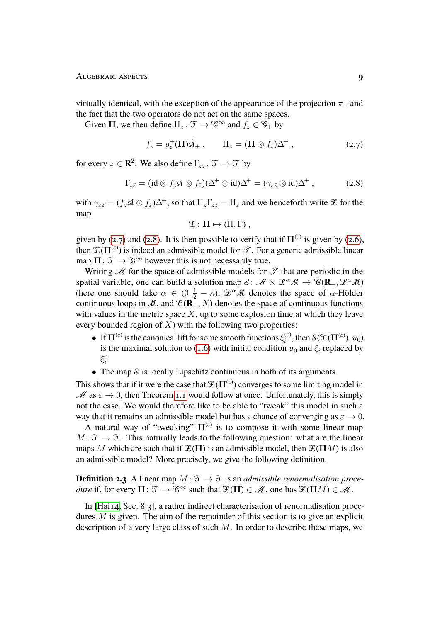virtually identical, with the exception of the appearance of the projection  $\pi_+$  and the fact that the two operators do not act on the same spaces.

Given  $\Pi$ , we then define  $\Pi_z \colon \mathcal{T} \to \mathcal{C}^\infty$  and  $f_z \in \mathcal{C}_+$  by

$$
f_z = g_z^+(\Pi)\hat{\mathcal{A}}_+, \qquad \Pi_z = (\Pi \otimes f_z)\Delta^+, \qquad (2.7)
$$

for every  $z \in \mathbf{R}^2$ . We also define  $\Gamma_{z\bar{z}} \colon \mathfrak{T} \to \mathfrak{T}$  by

$$
\Gamma_{z\bar{z}} = (\mathrm{id} \otimes f_z \mathfrak{A} \otimes f_{\bar{z}})(\Delta^+ \otimes \mathrm{id})\Delta^+ = (\gamma_{z\bar{z}} \otimes \mathrm{id})\Delta^+ , \qquad (2.8)
$$

with  $\gamma_{z\bar{z}} = (f_z \mathcal{A} \otimes f_{\bar{z}}) \Delta^+$ , so that  $\Pi_z \Gamma_{z\bar{z}} = \Pi_{\bar{z}}$  and we henceforth write  $\mathcal{I}$  for the map

<span id="page-8-1"></span><span id="page-8-0"></span>
$$
\mathfrak{T} \colon \Pi \mapsto (\Pi, \Gamma) ,
$$

given by [\(2.7\)](#page-8-0) and [\(2.8\)](#page-8-1). It is then possible to verify that if  $\Pi^{(\varepsilon)}$  is given by [\(2.6\)](#page-7-0), then  $\mathfrak{X}(\Pi^{(\varepsilon)})$  is indeed an admissible model for  $\mathscr{T}$ . For a generic admissible linear map  $\Pi: \mathcal{T} \to \mathcal{C}^{\infty}$  however this is not necessarily true.

Writing  $\mathcal M$  for the space of admissible models for  $\mathcal T$  that are periodic in the spatial variable, one can build a solution map  $\mathcal{S}: \mathcal{M} \times \mathcal{L}^{\alpha}\mathcal{M} \to \overline{\mathcal{C}}(\mathbf{R}_{+}, \mathcal{L}^{\alpha}\mathcal{M})$ (here one should take  $\alpha \in (0, \frac{1}{2} - \kappa)$ ,  $\mathscr{L}^{\alpha} \mathscr{M}$  denotes the space of  $\alpha$ -Hölder continuous loops in M, and  $\overline{\mathscr{C}}(\mathbb{R}_+^{\mathbb{Z}}, X)$  denotes the space of continuous functions with values in the metric space  $X$ , up to some explosion time at which they leave every bounded region of  $X$ ) with the following two properties:

- If  $\Pi^{(\varepsilon)}$  is the canonical lift for some smooth functions  $\xi_i^{(\varepsilon)}$  $\mathfrak{f}^{(\varepsilon)}_i$ , then  $\mathcal{S}(\mathfrak{T}(\Pi^{(\varepsilon)}), u_0)$ is the maximal solution to [\(1.6\)](#page-2-1) with initial condition  $u_0$  and  $\xi_i$  replaced by ξ $_{i}^{\varepsilon}$ .
- The map  $\delta$  is locally Lipschitz continuous in both of its arguments.

This shows that if it were the case that  $\mathfrak{X}(\Pi^{(\varepsilon)})$  converges to some limiting model in M as  $\varepsilon \to 0$ , then Theorem [1.1](#page-3-0) would follow at once. Unfortunately, this is simply not the case. We would therefore like to be able to "tweak" this model in such a way that it remains an admissible model but has a chance of converging as  $\varepsilon \to 0$ .

A natural way of "tweaking"  $\Pi^{(\varepsilon)}$  is to compose it with some linear map  $M: \mathcal{T} \to \mathcal{T}$ . This naturally leads to the following question: what are the linear maps M which are such that if  $\mathfrak{X}(\Pi)$  is an admissible model, then  $\mathfrak{X}(\Pi M)$  is also an admissible model? More precisely, we give the following definition.

**Definition 2.3** A linear map  $M : \mathcal{T} \to \mathcal{T}$  is an *admissible renormalisation procedure* if, for every  $\Pi: \mathcal{T} \to \mathcal{C}^{\infty}$  such that  $\mathcal{I}(\Pi) \in \mathcal{M}$ , one has  $\mathcal{I}(\Pi M) \in \mathcal{M}$ .

In [\[Hai14,](#page-18-3) Sec. 8.3], a rather indirect characterisation of renormalisation procedures  $M$  is given. The aim of the remainder of this section is to give an explicit description of a very large class of such  $M$ . In order to describe these maps, we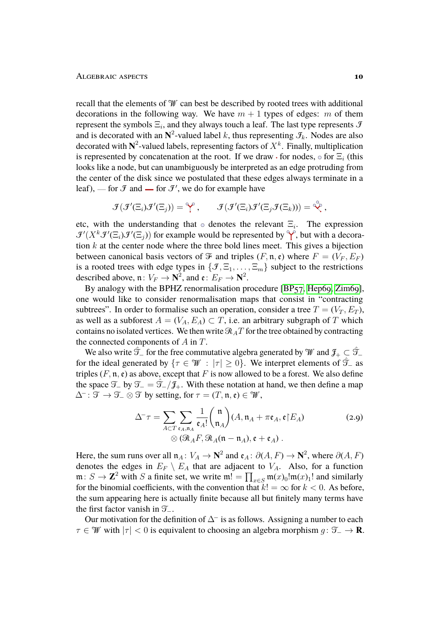recall that the elements of  $\mathcal W$  can best be described by rooted trees with additional decorations in the following way. We have  $m + 1$  types of edges: m of them represent the symbols  $\Xi_i$ , and they always touch a leaf. The last type represents  $\mathcal{F}$ and is decorated with an  $N^2$ -valued label k, thus representing  $\mathcal{I}_k$ . Nodes are also decorated with  $N^2$ -valued labels, representing factors of  $X^k$ . Finally, multiplication is represented by concatenation at the root. If we draw  $\cdot$  for nodes,  $\circ$  for  $\Xi_i$  (this looks like a node, but can unambiguously be interpreted as an edge protruding from the center of the disk since we postulated that these edges always terminate in a leaf), — for  $\mathcal{F}$  and — for  $\mathcal{F}'$ , we do for example have

$$
\mathcal{F}(\mathcal{F}'(\Xi_i)\mathcal{F}'(\Xi_j)) = \overset{\curvearrowright}{\mathbf{Y}}\,,\qquad \mathcal{F}(\mathcal{F}'(\Xi_i)\mathcal{F}'(\Xi_j\mathcal{F}(\Xi_k))) = \overset{\curvearrowright}{\mathbf{Y}}\,,
$$

etc, with the understanding that  $\circ$  denotes the relevant  $\Xi_i$ . The expression  $\mathcal{J}'(X^k \mathcal{J}'(\Xi_i) \mathcal{J}'(\Xi_j))$  for example would be represented by  $\mathcal{J}'$ , but with a decoration  $k$  at the center node where the three bold lines meet. This gives a bijection between canonical basis vectors of  $\mathcal F$  and triples  $(F, \mathfrak n, \mathfrak{e})$  where  $F = (V_F, E_F)$ is a rooted trees with edge types in  $\{\mathcal{F}, \Xi_1, \ldots, \Xi_m\}$  subject to the restrictions described above,  $\mathfrak{n} : V_F \to \mathbb{N}^2$ , and  $\mathfrak{e} : E_F \to \mathbb{N}^2$ .

By analogy with the BPHZ renormalisation procedure [\[BP57,](#page-17-10) [Hep69,](#page-18-8) [Zim69\]](#page-18-9), one would like to consider renormalisation maps that consist in "contracting subtrees". In order to formalise such an operation, consider a tree  $T = (V_T, E_T)$ , as well as a subforest  $A = (V_A, E_A) \subset T$ , i.e. an arbitrary subgraph of T which contains no isolated vertices. We then write  $\Re A T$  for the tree obtained by contracting the connected components of  $A$  in  $T$ .

We also write  $\hat{\mathcal{T}}_-\$  for the free commutative algebra generated by W and  $\mathcal{J}_+\subset \hat{\mathcal{T}}_$ for the ideal generated by  $\{\tau \in \mathcal{W} : |\tau| > 0\}$ . We interpret elements of  $\mathcal{T}_-$  as triples  $(F, \mathfrak{n}, \mathfrak{e})$  as above, except that F is now allowed to be a forest. We also define the space  $\mathfrak{T}_-$  by  $\mathfrak{T}_- = \mathfrak{T}_-/\mathfrak{F}_+$ . With these notation at hand, we then define a map  $\Delta^-$ :  $\mathfrak{T} \to \mathfrak{T}_-\otimes \mathfrak{T}$  by setting, for  $\tau = (T, \mathfrak{n}, \mathfrak{e}) \in \mathcal{W}$ ,

<span id="page-9-0"></span>
$$
\Delta^-\tau = \sum_{A \subset T} \sum_{\mathfrak{e}_A, \mathfrak{n}_A} \frac{1}{\mathfrak{e}_A!} {n \choose \mathfrak{n}_A} (A, \mathfrak{n}_A + \pi \mathfrak{e}_A, \mathfrak{e} \restriction E_A)
$$
\n
$$
\otimes (\mathfrak{R}_A F, \mathfrak{R}_A(\mathfrak{n} - \mathfrak{n}_A), \mathfrak{e} + \mathfrak{e}_A).
$$
\n(2.9)

Here, the sum runs over all  $\mathfrak{n}_A : V_A \to \mathbb{N}^2$  and  $\mathfrak{e}_A : \partial(A, F) \to \mathbb{N}^2$ , where  $\partial(A, F)$ denotes the edges in  $E_F \setminus E_A$  that are adjacent to  $V_A$ . Also, for a function  $\mathfrak{m}: S \to \mathbb{Z}^2$  with S a finite set, we write  $\mathfrak{m}! = \prod_{x \in S} \mathfrak{m}(x)_0! \mathfrak{m}(x)_1!$  and similarly for the binomial coefficients, with the convention that  $k! = \infty$  for  $k < 0$ . As before, the sum appearing here is actually finite because all but finitely many terms have the first factor vanish in  $\mathcal{T}_-$ .

Our motivation for the definition of  $\Delta^-$  is as follows. Assigning a number to each  $\tau \in \mathcal{W}$  with  $|\tau| < 0$  is equivalent to choosing an algebra morphism  $q: \mathcal{T} \to \mathbf{R}$ .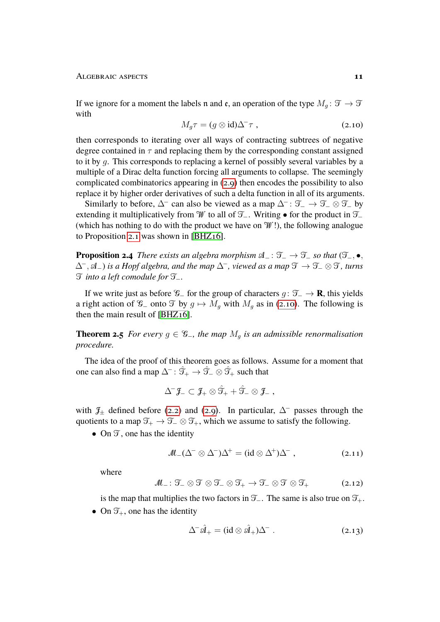#### Algebraic aspects **11**

If we ignore for a moment the labels n and e, an operation of the type  $M_q$ :  $\mathfrak{T} \rightarrow \mathfrak{T}$ with

<span id="page-10-0"></span>
$$
M_g \tau = (g \otimes id)\Delta^{-} \tau , \qquad (2.10)
$$

then corresponds to iterating over all ways of contracting subtrees of negative degree contained in  $\tau$  and replacing them by the corresponding constant assigned to it by g. This corresponds to replacing a kernel of possibly several variables by a multiple of a Dirac delta function forcing all arguments to collapse. The seemingly complicated combinatorics appearing in [\(2.9\)](#page-9-0) then encodes the possibility to also replace it by higher order derivatives of such a delta function in all of its arguments.

Similarly to before,  $\Delta^-$  can also be viewed as a map  $\Delta^-$ :  $\mathcal{T}_-\to\mathcal{T}_-\otimes\mathcal{T}_-\,$  by extending it multiplicatively from W to all of  $\mathcal{T}_-$ . Writing • for the product in  $\mathcal{T}_-$ (which has nothing to do with the product we have on  $\mathcal{W}$ !), the following analogue to Proposition [2.1](#page-6-1) was shown in [\[BHZ16\]](#page-16-1).

**Proposition 2.4** *There exists an algebra morphism*  $\mathfrak{A}_- : \mathfrak{I}_- \to \mathfrak{I}_-$  *so that*  $(\mathfrak{I}_-, \bullet, \bullet)$ ∆<sup>−</sup>, A−) *is a Hopf algebra, and the map* ∆<sup>−</sup>*, viewed as a map* T→ T<sup>−</sup> ⊗ T*, turns* T*into a left comodule for* T−*.*

If we write just as before  $\mathcal{G}_-$  for the group of characters  $g: \mathcal{T}_- \to \mathbf{R}$ , this yields a right action of  $\mathcal{G}_-$  onto  $\mathcal{T}$  by  $g \mapsto M_g$  with  $M_g$  as in [\(2.10\)](#page-10-0). The following is then the main result of [\[BHZ16\]](#page-16-1).

<span id="page-10-3"></span>**Theorem 2.5** *For every*  $g \in \mathcal{G}_-$ *, the map*  $M_g$  *is an admissible renormalisation procedure.*

The idea of the proof of this theorem goes as follows. Assume for a moment that one can also find a map  $\Delta^-$ :  $\hat{\mathcal{T}}_+ \to \hat{\mathcal{T}}_- \otimes \hat{\mathcal{T}}_+$  such that

$$
\Delta^{-} \mathcal{J}_{-} \subset \mathcal{J}_{+} \otimes \hat{\mathfrak{I}}_{+} + \hat{\mathfrak{I}}_{-} \otimes \mathcal{J}_{-} \;,
$$

with  $\mathcal{J}_\pm$  defined before [\(2.2\)](#page-6-2) and [\(2.9\)](#page-9-0). In particular,  $\Delta^-$  passes through the quotients to a map  $\mathfrak{T}_+ \to \mathfrak{T}_- \otimes \mathfrak{T}_+$ , which we assume to satisfy the following.

• On  $\mathcal{T}$ , one has the identity

$$
M_{-}(\Delta^{-}\otimes \Delta^{-})\Delta^{+} = (\mathrm{id}\otimes \Delta^{+})\Delta^{-}, \qquad (2.11)
$$

where

$$
M_{-}: \mathfrak{T}_{-} \otimes \mathfrak{T} \otimes \mathfrak{T}_{-} \otimes \mathfrak{T}_{+} \to \mathfrak{T}_{-} \otimes \mathfrak{T} \otimes \mathfrak{T}_{+}
$$
 (2.12)

is the map that multiplies the two factors in  $\mathcal{T}_-$ . The same is also true on  $\mathcal{T}_+$ .

• On  $\mathfrak{T}_+$ , one has the identity

<span id="page-10-4"></span><span id="page-10-2"></span><span id="page-10-1"></span>
$$
\Delta^{-} \hat{\mathcal{A}}_{+} = (\mathrm{id} \otimes \hat{\mathcal{A}}_{+}) \Delta^{-} . \tag{2.13}
$$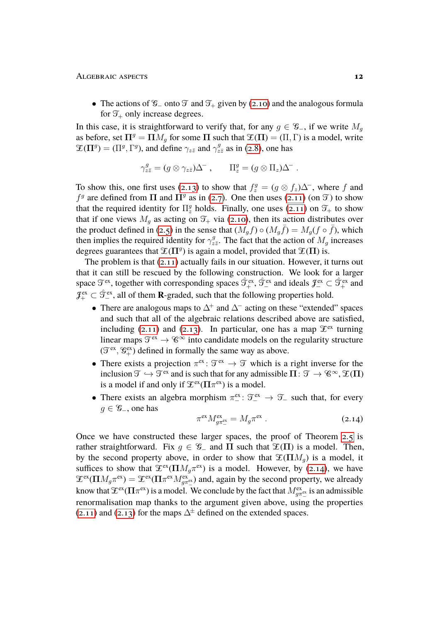• The actions of  $\mathcal{G}_-$  onto  $\mathcal{T}$  and  $\mathcal{T}_+$  given by [\(2.10\)](#page-10-0) and the analogous formula for  $\mathfrak{T}_+$  only increase degrees.

In this case, it is straightforward to verify that, for any  $q \in \mathcal{G}_-$ , if we write  $M_q$ as before, set  $\Pi^g = \Pi M_q$  for some  $\Pi$  such that  $\mathfrak{T}(\Pi) = (\Pi, \Gamma)$  is a model, write  $\mathfrak{X}(\Pi^g) = (\Pi^g, \Gamma^g)$ , and define  $\gamma_{z\bar{z}}$  and  $\gamma^g_{z\bar{z}}$  as in [\(2.8\)](#page-8-1), one has

$$
\gamma_{z\bar{z}}^g = (g \otimes \gamma_{z\bar{z}})\Delta^-, \qquad \Pi_z^g = (g \otimes \Pi_z)\Delta^-.
$$

To show this, one first uses [\(2.13\)](#page-10-1) to show that  $f_z^g = (g \otimes f_z) \Delta^-$ , where f and  $f<sup>g</sup>$  are defined from  $\Pi$  and  $\Pi<sup>g</sup>$  as in [\(2.7\)](#page-8-0). One then uses [\(2.11\)](#page-10-2) (on  $\mathfrak{I}$ ) to show that the required identity for  $\Pi_z^g$  holds. Finally, one uses [\(2.11\)](#page-10-2) on  $\mathfrak{T}_+$  to show that if one views  $M_g$  as acting on  $\mathfrak{T}_+$  via [\(2.10\)](#page-10-0), then its action distributes over the product defined in [\(2.5\)](#page-7-2) in the sense that  $(M_g f) \circ (M_g \overline{f}) = M_g(f \circ \overline{f})$ , which then implies the required identity for  $\gamma_z^g$  $x^g_{z\bar{z}}$ . The fact that the action of  $M_g$  increases degrees guarantees that  $\mathfrak{X}(\Pi^g)$  is again a model, provided that  $\mathfrak{X}(\Pi)$  is.

The problem is that [\(2.11\)](#page-10-2) actually fails in our situation. However, it turns out that it can still be rescued by the following construction. We look for a larger space  $\mathfrak{T}^{ex}$ , together with corresponding spaces  $\hat{\mathfrak{T}}_+^{ex}$ ,  $\hat{\mathfrak{T}}_+^{ex}$  and ideals  $\mathfrak{F}_-^{ex} \subset \hat{\mathfrak{T}}_+^{ex}$  and  $\mathcal{J}^{\text{ex}}_{+} \subset \hat{\mathcal{T}}^{\text{ex}}_{-}$ , all of them **R**-graded, such that the following properties hold.

- There are analogous maps to  $\Delta^+$  and  $\Delta^-$  acting on these "extended" spaces and such that all of the algebraic relations described above are satisfied, including [\(2.11\)](#page-10-2) and [\(2.13\)](#page-10-1). In particular, one has a map  $\mathcal{F}^{\text{ex}}$  turning linear maps  $\mathfrak{T}^{ex} \to \mathscr{C}^{\infty}$  into candidate models on the regularity structure  $(\mathcal{T}^{ex}, \mathcal{C}^{ex}_+)$  defined in formally the same way as above.
- There exists a projection  $\pi^{ex}$ :  $\mathcal{T}^{ex} \to \mathcal{T}$  which is a right inverse for the inclusion  $\mathfrak{T} \hookrightarrow \mathfrak{T}^{ex}$  and is such that for any admissible  $\Pi: \mathfrak{T} \to \mathscr{C}^{\infty}, \mathfrak{T}(\Pi)$ is a model if and only if  $\mathcal{L}^{ex}(\Pi \pi^{ex})$  is a model.
- There exists an algebra morphism  $\pi_{-}^{\text{ex}}$ :  $\mathfrak{T}_{-}^{\text{ex}} \to \mathfrak{T}_{-}$  such that, for every  $q \in \mathcal{G}_-$ , one has

<span id="page-11-0"></span>
$$
\pi^{\mathrm{ex}} M_{g\pi_{-}^{\mathrm{ex}}}^{\mathrm{ex}} = M_g \pi^{\mathrm{ex}} . \tag{2.14}
$$

Once we have constructed these larger spaces, the proof of Theorem [2.5](#page-10-3) is rather straightforward. Fix  $g \in \mathscr{G}_-$  and  $\Pi$  such that  $\mathscr{L}(\Pi)$  is a model. Then, by the second property above, in order to show that  $\mathfrak{X}(\Pi M_q)$  is a model, it suffices to show that  $\mathfrak{X}^{\text{ex}}(\Pi M_g \pi^{\text{ex}})$  is a model. However, by [\(2.14\)](#page-11-0), we have  $\mathfrak{X}^{ex}(\Pi M_g \pi^{ex}) = \mathfrak{X}^{ex}(\Pi \pi^{ex} M_{g \pi^{ex}}^{ex})$  and, again by the second property, we already know that  $\mathfrak{T}^\mathrm{ex}(\Pi\pi^\mathrm{ex})$  is a model. We conclude by the fact that  $M_{g\pi^\mathrm{ex}_-}^\mathrm{ex}$  is an admissible renormalisation map thanks to the argument given above, using the properties [\(2.11\)](#page-10-2) and [\(2.13\)](#page-10-1) for the maps  $\Delta^{\pm}$  defined on the extended spaces.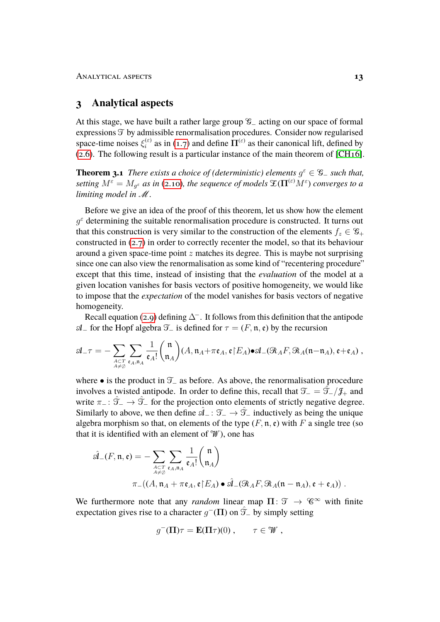# <span id="page-12-0"></span>**3 Analytical aspects**

At this stage, we have built a rather large group G<sup>−</sup> acting on our space of formal expressions  $\mathfrak T$  by admissible renormalisation procedures. Consider now regularised space-time noises  $\xi_i^{(\varepsilon)}$ ( $\varepsilon$ ) as in [\(1.7\)](#page-3-1) and define  $\Pi^{(\varepsilon)}$  as their canonical lift, defined by [\(2.6\)](#page-7-0). The following result is a particular instance of the main theorem of [\[CH16\]](#page-17-4).

<span id="page-12-1"></span>**Theorem 3.1** *There exists a choice of (deterministic) elements*  $g^{\varepsilon} \in \mathcal{G}_-$  *such that,* setting  $M^\varepsilon = M_{g^\varepsilon}$  as in [\(2.10\)](#page-10-0), the sequence of models  $\mathfrak{X}(\mathbf{\Pi}^{(\varepsilon)}M^\varepsilon)$  converges to a *limiting model in* M*.*

Before we give an idea of the proof of this theorem, let us show how the element  $g^{\varepsilon}$  determining the suitable renormalisation procedure is constructed. It turns out that this construction is very similar to the construction of the elements  $f_z \in \mathscr{G}_+$ constructed in [\(2.7\)](#page-8-0) in order to correctly recenter the model, so that its behaviour around a given space-time point  $z$  matches its degree. This is maybe not surprising since one can also view the renormalisation as some kind of "recentering procedure" except that this time, instead of insisting that the *evaluation* of the model at a given location vanishes for basis vectors of positive homogeneity, we would like to impose that the *expectation* of the model vanishes for basis vectors of negative homogeneity.

Recall equation [\(2.9\)](#page-9-0) defining  $\Delta^-$ . It follows from this definition that the antipode  $\mathcal{A}$  − for the Hopf algebra  $\mathcal{T}$  is defined for  $\tau = (F, \mathfrak{n}, \mathfrak{e})$  by the recursion

$$
\mathfrak{A}_{-}\tau=-\sum_{A\subset T\atop A\neq\emptyset}\sum_{\mathfrak{e}_A,\mathfrak{n}_A}\frac{1}{\mathfrak{e}_A!}\binom{\mathfrak{n}}{\mathfrak{n}_A}(A,\mathfrak{n}_A+\pi\mathfrak{e}_A,\mathfrak{e}{\upharpoonright} E_A)\bullet\mathfrak{A}_{-}(\mathfrak{R}_AF,\mathfrak{R}_A(\mathfrak{n}-\mathfrak{n}_A),\mathfrak{e}+\mathfrak{e}_A)\ ,
$$

where • is the product in  $\mathcal{T}_-$  as before. As above, the renormalisation procedure involves a twisted antipode. In order to define this, recall that  $\mathcal{T} = \mathcal{T} - \mathcal{J}_+$  and write  $\pi$  − :  $\hat{\mathcal{T}}_-\to\hat{\mathcal{T}}_-\hat{\mathcal{T}}_-\hat{\mathcal{T}}_-\hat{\mathcal{T}}_-\hat{\mathcal{T}}_-\hat{\mathcal{T}}_-\hat{\mathcal{T}}_-\hat{\mathcal{T}}_-\hat{\mathcal{T}}_-\hat{\mathcal{T}}_-\hat{\mathcal{T}}_-\hat{\mathcal{T}}_-\hat{\mathcal{T}}_-\hat{\mathcal{T}}_-\hat{\mathcal{T}}_-\hat{\mathcal{T}}_-\hat{\mathcal{T}}_-\hat{\mathcal{T}}_-\hat{\mathcal{T}}_-\hat{\mathcal{T}}_-\hat{\mathcal{T}}_+\hat{\mathcal{T}}_+\hat{\mathcal{T}}_+\hat{\mathcal{T}}_+\hat{\$ Similarly to above, we then define  $\mathcal{A}_- : \mathcal{T}_- \to \mathcal{T}_-$  inductively as being the unique algebra morphism so that, on elements of the type  $(F, \mathfrak{n}, \mathfrak{e})$  with F a single tree (so that it is identified with an element of  $W$ ), one has

$$
\hat{\mathfrak{A}}_{-}(F, \mathfrak{n}, \mathfrak{e}) = -\sum_{\substack{A \subset T \\ A \neq \emptyset}} \sum_{\mathfrak{e}_A, \mathfrak{n}_A} \frac{1}{\mathfrak{e}_A!} {n \choose \mathfrak{n}_A} \pi_{-}((A, \mathfrak{n}_A + \pi \mathfrak{e}_A, \mathfrak{e} \restriction E_A) \bullet \hat{\mathfrak{A}}_{-}(\mathfrak{R}_A F, \mathfrak{R}_A(\mathfrak{n} - \mathfrak{n}_A), \mathfrak{e} + \mathfrak{e}_A)) .
$$

We furthermore note that any *random* linear map  $\Pi: \mathcal{T} \to \mathcal{C}^{\infty}$  with finite expectation gives rise to a character  $g^{-}(\Pi)$  on  $\hat{\mathcal{T}}_{-}$  by simply setting

$$
g^{-}(\Pi)\tau = \mathbf{E}(\Pi\tau)(0) , \qquad \tau \in \mathcal{W} ,
$$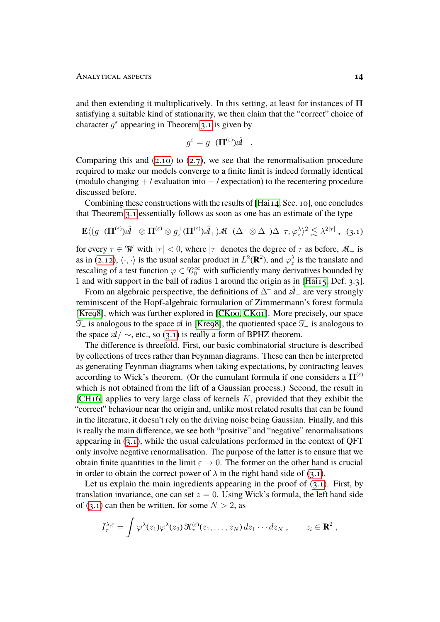and then extending it multiplicatively. In this setting, at least for instances of  $\Pi$ satisfying a suitable kind of stationarity, we then claim that the "correct" choice of character  $g^{\varepsilon}$  appearing in Theorem [3.1](#page-12-1) is given by

<span id="page-13-0"></span>
$$
g^{\varepsilon} = g^{-}(\Pi^{(\varepsilon)})\hat{\mathfrak{A}}_{-}.
$$

Comparing this and  $(2.10)$  to  $(2.7)$ , we see that the renormalisation procedure required to make our models converge to a finite limit is indeed formally identical (modulo changing  $+$  / evaluation into  $-$  / expectation) to the recentering procedure discussed before.

Combining these constructions with the results of [\[Hai14,](#page-18-3) Sec. 10], one concludes that Theorem [3.1](#page-12-1) essentially follows as soon as one has an estimate of the type

$$
\mathbf{E}\langle (g^-(\Pi^{(\varepsilon)})\hat{\mathcal{A}}_-\otimes \Pi^{(\varepsilon)}\otimes g_z^+(\Pi^{(\varepsilon)})\hat{\mathcal{A}}_+) \mathcal{M}_-(\Delta^-\otimes \Delta^-)\Delta^+\tau, \varphi_z^{\lambda}\rangle^2 \lesssim \lambda^{2|\tau|}, (3.1)
$$

for every  $\tau \in \mathcal{W}$  with  $|\tau| < 0$ , where  $|\tau|$  denotes the degree of  $\tau$  as before,  $\mathcal{M}_-$  is as in [\(2.12\)](#page-10-4),  $\langle \cdot, \cdot \rangle$  is the usual scalar product in  $L^2(\mathbf{R}^2)$ , and  $\varphi_z^{\lambda}$  is the translate and rescaling of a test function  $\varphi \in \mathcal{C}_0^{\infty}$  with sufficiently many derivatives bounded by 1 and with support in the ball of radius 1 around the origin as in [\[Hai15,](#page-18-7) Def. 3.3].

From an algebraic perspective, the definitions of  $\Delta^-$  and  $\hat{\mathcal{A}}$  are very strongly reminiscent of the Hopf-algebraic formulation of Zimmermann's forest formula [\[Kre98\]](#page-18-10), which was further explored in [\[CK00,](#page-17-11) [CK01\]](#page-17-12). More precisely, our space  $\mathcal{T}_-$  is analogous to the space  $\mathcal{A}$  in [\[Kre98\]](#page-18-10), the quotiented space  $\mathcal{T}_-$  is analogous to the space  $\mathcal{A}/\sim$ , etc., so [\(3.1\)](#page-13-0) is really a form of BPHZ theorem.

The difference is threefold. First, our basic combinatorial structure is described by collections of trees rather than Feynman diagrams. These can then be interpreted as generating Feynman diagrams when taking expectations, by contracting leaves according to Wick's theorem. (Or the cumulant formula if one considers a  $\Pi^{(\varepsilon)}$ which is not obtained from the lift of a Gaussian process.) Second, the result in [CH<sub>16</sub>] applies to very large class of kernels  $K$ , provided that they exhibit the "correct" behaviour near the origin and, unlike most related results that can be found in the literature, it doesn't rely on the driving noise being Gaussian. Finally, and this is really the main difference, we see both "positive" and "negative" renormalisations appearing in  $(3.1)$ , while the usual calculations performed in the context of OFT only involve negative renormalisation. The purpose of the latter is to ensure that we obtain finite quantities in the limit  $\varepsilon \to 0$ . The former on the other hand is crucial in order to obtain the correct power of  $\lambda$  in the right hand side of [\(3.1\)](#page-13-0).

Let us explain the main ingredients appearing in the proof of  $(3.1)$ . First, by translation invariance, one can set  $z = 0$ . Using Wick's formula, the left hand side of [\(3.1\)](#page-13-0) can then be written, for some  $N > 2$ , as

$$
I_{\tau}^{\lambda,\varepsilon} = \int \varphi^{\lambda}(z_1) \varphi^{\lambda}(z_2) \, \mathcal{K}_{\tau}^{(\varepsilon)}(z_1,\ldots,z_N) \, dz_1 \cdots dz_N \;, \qquad z_i \in \mathbb{R}^2 \;,
$$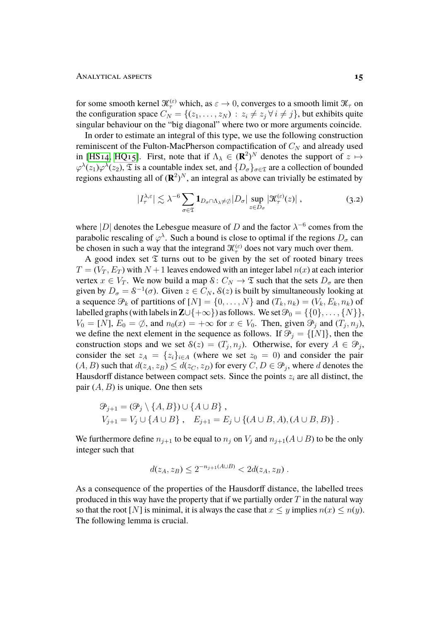for some smooth kernel  $\mathcal{K}_{\tau}^{(\varepsilon)}$  which, as  $\varepsilon \to 0$ , converges to a smooth limit  $\mathcal{K}_{\tau}$  on the configuration space  $C_N = \{(z_1, \ldots, z_N) : z_i \neq z_j \,\forall \, i \neq j\}$ , but exhibits quite singular behaviour on the "big diagonal" where two or more arguments coincide.

In order to estimate an integral of this type, we use the following construction reminiscent of the Fulton-MacPherson compactification of  $C<sub>N</sub>$  and already used in [HS<sub>14</sub>, HQ<sub>15</sub>]. First, note that if  $\Lambda_{\lambda} \in (\mathbf{R}^2)^N$  denotes the support of  $z \mapsto$  $\varphi^{\lambda}(z_1)\varphi^{\lambda}(z_2)$ ,  $\mathfrak T$  is a countable index set, and  $\{D_{\sigma}\}_{{\sigma}\in\mathfrak T}$  are a collection of bounded regions exhausting all of  $(\mathbb{R}^2)^N$ , an integral as above can trivially be estimated by

$$
|I_{\tau}^{\lambda,\varepsilon}| \lesssim \lambda^{-6} \sum_{\sigma \in \mathfrak{T}} \mathbf{1}_{D_{\sigma} \cap \Lambda_{\lambda} \neq \emptyset} |D_{\sigma}| \sup_{z \in D_{\sigma}} |\mathcal{K}_{\tau}^{(\varepsilon)}(z)| ,
$$
 (3.2)

where |D| denotes the Lebesgue measure of D and the factor  $\lambda^{-6}$  comes from the parabolic rescaling of  $\varphi^{\lambda}$ . Such a bound is close to optimal if the regions  $D_{\sigma}$  can be chosen in such a way that the integrand  $\mathcal{K}_{\tau}^{(\varepsilon)}$  does not vary much over them.

A good index set  $\mathfrak T$  turns out to be given by the set of rooted binary trees  $T = (V_T, E_T)$  with  $N + 1$  leaves endowed with an integer label  $n(x)$  at each interior vertex  $x \in V_T$ . We now build a map  $\mathcal{S}: C_N \to \mathfrak{T}$  such that the sets  $D_{\sigma}$  are then given by  $D_{\sigma} = \delta^{-1}(\sigma)$ . Given  $z \in C_N$ ,  $\delta(z)$  is built by simultaneously looking at a sequence  $\mathcal{P}_k$  of partitions of  $[N] = \{0, \ldots, N\}$  and  $(T_k, n_k) = (V_k, E_k, n_k)$  of labelled graphs (with labels in  $\mathbb{Z} \cup \{+\infty\}$ ) as follows. We set  $\mathcal{P}_0 = \{\{0\}, \ldots, \{N\}\},\$  $V_0 = [N]$ ,  $E_0 = \emptyset$ , and  $n_0(x) = +\infty$  for  $x \in V_0$ . Then, given  $\mathcal{P}_j$  and  $(T_j, n_j)$ , we define the next element in the sequence as follows. If  $\mathcal{P}_j = \{[N]\}\$ , then the construction stops and we set  $\mathcal{S}(z) = (T_j, n_j)$ . Otherwise, for every  $A \in \mathcal{P}_j$ , consider the set  $z_A = \{z_i\}_{i \in A}$  (where we set  $z_0 = 0$ ) and consider the pair  $(A, B)$  such that  $d(z_A, z_B) \leq d(z_C, z_D)$  for every  $C, D \in \mathcal{P}_j$ , where d denotes the Hausdorff distance between compact sets. Since the points  $z_i$  are all distinct, the pair  $(A, B)$  is unique. One then sets

$$
\mathcal{P}_{j+1} = (\mathcal{P}_j \setminus \{A, B\}) \cup \{A \cup B\}, V_{j+1} = V_j \cup \{A \cup B\}, E_{j+1} = E_j \cup \{(A \cup B, A), (A \cup B, B)\}.
$$

We furthermore define  $n_{j+1}$  to be equal to  $n_j$  on  $V_j$  and  $n_{j+1}(A \cup B)$  to be the only integer such that

$$
d(z_A, z_B) \le 2^{-n_{j+1}(A \cup B)} < 2d(z_A, z_B) \, .
$$

<span id="page-14-0"></span>As a consequence of the properties of the Hausdorff distance, the labelled trees produced in this way have the property that if we partially order  $T$  in the natural way so that the root [N] is minimal, it is always the case that  $x \leq y$  implies  $n(x) \leq n(y)$ . The following lemma is crucial.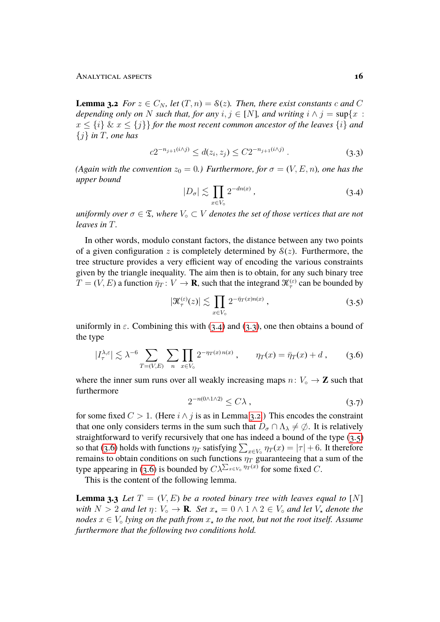**Lemma 3.2** *For*  $z \in C_N$ *, let*  $(T, n) = \mathcal{S}(z)$ *. Then, there exist constants c and* C *depending only on* N *such that, for any*  $i, j \in [N]$ *, and writing*  $i \wedge j = \sup\{x :$  $x \leq \{i\}$  &  $x \leq \{j\}$  for the most recent common ancestor of the leaves  $\{i\}$  and {j} *in* T*, one has*

$$
c2^{-n_{j+1}(i \wedge j)} \le d(z_i, z_j) \le C2^{-n_{j+1}(i \wedge j)}.
$$
\n(3.3)

*(Again with the convention*  $z_0 = 0$ *) Furthermore, for*  $\sigma = (V, E, n)$ *, one has the upper bound*

<span id="page-15-1"></span><span id="page-15-0"></span>
$$
|D_{\sigma}| \lesssim \prod_{x \in V_0} 2^{-dn(x)}, \tag{3.4}
$$

*uniformly over*  $\sigma \in \mathfrak{T}$ , where  $V_{\circ} \subset V$  *denotes the set of those vertices that are not leaves in* T*.*

In other words, modulo constant factors, the distance between any two points of a given configuration z is completely determined by  $S(z)$ . Furthermore, the tree structure provides a very efficient way of encoding the various constraints given by the triangle inequality. The aim then is to obtain, for any such binary tree  $T = (V, E)$  a function  $\bar{\eta}_T : V \to \mathbf{R}$ , such that the integrand  $\mathcal{K}^{(\varepsilon)}_{\tau}$  can be bounded by

<span id="page-15-2"></span>
$$
|\mathcal{K}_{\tau}^{(\varepsilon)}(z)| \lesssim \prod_{x \in V_{\circ}} 2^{-\bar{\eta}_T(x)n(x)} , \qquad (3.5)
$$

uniformly in  $\varepsilon$ . Combining this with [\(3.4\)](#page-15-0) and [\(3.3\)](#page-15-1), one then obtains a bound of the type

$$
|I_{\tau}^{\lambda,\varepsilon}| \lesssim \lambda^{-6} \sum_{T=(V,E)} \sum_{n} \prod_{x \in V_0} 2^{-\eta_T(x) n(x)}, \qquad \eta_T(x) = \bar{\eta}_T(x) + d \,, \qquad (3.6)
$$

where the inner sum runs over all weakly increasing maps  $n: V_{\circ} \to \mathbf{Z}$  such that furthermore

<span id="page-15-4"></span><span id="page-15-3"></span>
$$
2^{-n(0 \wedge 1 \wedge 2)} \le C\lambda \tag{3.7}
$$

for some fixed  $C > 1$ . (Here  $i \wedge j$  is as in Lemma [3.2.](#page-14-0)) This encodes the constraint that one only considers terms in the sum such that  $D_{\sigma} \cap \Lambda_{\lambda} \neq \emptyset$ . It is relatively straightforward to verify recursively that one has indeed a bound of the type [\(3.5\)](#page-15-2) so that [\(3.6\)](#page-15-3) holds with functions  $\eta_T$  satisfying  $\sum_{x \in V_0} \eta_T(x) = |\tau| + 6$ . It therefore remains to obtain conditions on such functions  $\eta_T$  guaranteeing that a sum of the type appearing in [\(3.6\)](#page-15-3) is bounded by  $C\lambda^{\sum_{x\in V_0} \eta_T(x)}$  for some fixed C.

This is the content of the following lemma.

<span id="page-15-5"></span>**Lemma 3.3** *Let*  $T = (V, E)$  *be a rooted binary tree with leaves equal to* [N] *with*  $N > 2$  *and let*  $\eta: V_0 \to \mathbf{R}$ *. Set*  $x_* = 0 \land 1 \land 2 \in V_0$  *and let*  $V_*$  *denote the nodes*  $x \in V_0$  *lying on the path from*  $x_*$  *to the root, but not the root itself. Assume furthermore that the following two conditions hold.*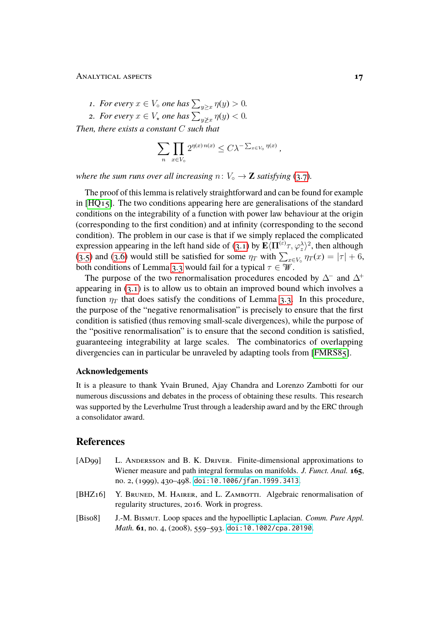- *1. For every*  $x \in V_{\circ}$  *one has*  $\sum_{y \geq x} \eta(y) > 0$ *.*
- 2. For every  $x \in V_{\star}$  one has  $\sum_{y \not\geq x} \eta(y) < 0$ .

*Then, there exists a constant* C *such that*

$$
\sum_{n} \prod_{x \in V_{\circ}} 2^{\eta(x) n(x)} \leq C \lambda^{-\sum_{x \in V_{\circ}} \eta(x)},
$$

*where the sum runs over all increasing*  $n: V_0 \to \mathbf{Z}$  *satisfying* [\(3.7\)](#page-15-4)*.* 

The proof of this lemma is relatively straightforward and can be found for example in  $[HQ_15]$ . The two conditions appearing here are generalisations of the standard conditions on the integrability of a function with power law behaviour at the origin (corresponding to the first condition) and at infinity (corresponding to the second condition). The problem in our case is that if we simply replaced the complicated expression appearing in the left hand side of [\(3.1\)](#page-13-0) by  $\mathbf{E} \langle \Pi^{(\varepsilon)} \tau, \varphi_{z}^{\lambda} \rangle^{2}$ , then although [\(3.5\)](#page-15-2) and [\(3.6\)](#page-15-3) would still be satisfied for some  $\eta_T$  with  $\sum_{x \in V_0} \eta_T(x) = |\tau| + 6$ , both conditions of Lemma [3.3](#page-15-5) would fail for a typical  $\tau \in \mathcal{W}$ .

The purpose of the two renormalisation procedures encoded by  $\Delta^-$  and  $\Delta^+$ appearing in [\(3.1\)](#page-13-0) is to allow us to obtain an improved bound which involves a function  $\eta_T$  that does satisfy the conditions of Lemma [3.3.](#page-15-5) In this procedure, the purpose of the "negative renormalisation" is precisely to ensure that the first condition is satisfied (thus removing small-scale divergences), while the purpose of the "positive renormalisation" is to ensure that the second condition is satisfied, guaranteeing integrability at large scales. The combinatorics of overlapping divergencies can in particular be unraveled by adapting tools from [\[FMRS85\]](#page-17-13).

# **Acknowledgements**

It is a pleasure to thank Yvain Bruned, Ajay Chandra and Lorenzo Zambotti for our numerous discussions and debates in the process of obtaining these results. This research was supported by the Leverhulme Trust through a leadership award and by the ERC through a consolidator award.

# **References**

- <span id="page-16-0"></span>[AD99] L. ANDERSSON and B. K. DRIVER. Finite-dimensional approximations to Wiener measure and path integral formulas on manifolds. *J. Funct. Anal.* **165**, no. 2, (1999), 430–498. [doi:10.1006/jfan.1999.3413](http://dx.doi.org/10.1006/jfan.1999.3413).
- <span id="page-16-1"></span>[BHZ16] Y. BRUNED, M. HAIRER, and L. ZAMBOTTI. Algebraic renormalisation of regularity structures, 2016. Work in progress.
- <span id="page-16-2"></span>[Bis08] J.-M. Bismut. Loop spaces and the hypoelliptic Laplacian. *Comm. Pure Appl. Math.* **61**, no. 4, (2008), 559–593. [doi:10.1002/cpa.20190](http://dx.doi.org/10.1002/cpa.20190).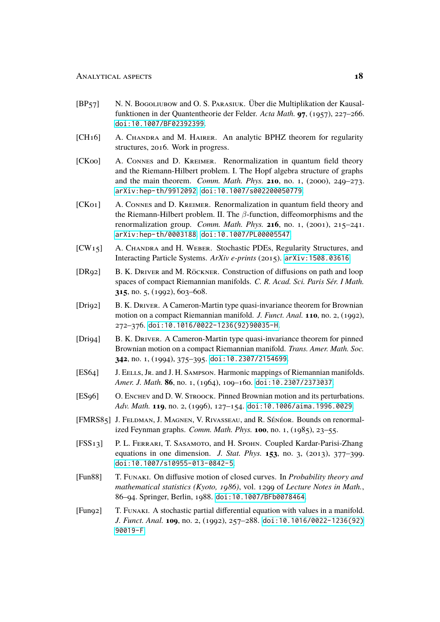- <span id="page-17-10"></span>[BP57] N. N. Bogoliubow and O. S. PARASIUK. Über die Multiplikation der Kausalfunktionen in der Quantentheorie der Felder. *Acta Math.* **97**, (1957), 227–266. [doi:10.1007/BF02392399](http://dx.doi.org/10.1007/BF02392399).
- <span id="page-17-4"></span>[CH<sub>16</sub>] A. Chandra and M. Hairer. An analytic BPHZ theorem for regularity structures, 2016. Work in progress.
- <span id="page-17-11"></span>[CK00] A. Connes and D. Kreimer. Renormalization in quantum field theory and the Riemann-Hilbert problem. I. The Hopf algebra structure of graphs and the main theorem. *Comm. Math. Phys.* **210**, no. 1, (2000), 249–273. [arXiv:hep-th/9912092](http://arxiv.org/abs/hep-th/9912092). [doi:10.1007/s002200050779](http://dx.doi.org/10.1007/s002200050779).
- <span id="page-17-12"></span>[CK01] A. Connes and D. Kreimer. Renormalization in quantum field theory and the Riemann-Hilbert problem. II. The  $\beta$ -function, diffeomorphisms and the renormalization group. *Comm. Math. Phys.* **216**, no. 1, (2001), 215–241. [arXiv:hep-th/0003188](http://arxiv.org/abs/hep-th/0003188). [doi:10.1007/PL00005547](http://dx.doi.org/10.1007/PL00005547).
- <span id="page-17-9"></span>[CW<sub>15</sub>] A. Chandra and H. Weber. Stochastic PDEs, Regularity Structures, and Interacting Particle Systems. *ArXiv e-prints* (2015). [arXiv:1508.03616](http://arxiv.org/abs/1508.03616).
- <span id="page-17-6"></span>[DR92] B. K. Driver and M. Röckner. Construction of diffusions on path and loop spaces of compact Riemannian manifolds. *C. R. Acad. Sci. Paris Sér. I Math.* **315**, no. 5, (1992), 603–608.
- <span id="page-17-5"></span>[Dri92] B. K. Driver. A Cameron-Martin type quasi-invariance theorem for Brownian motion on a compact Riemannian manifold. *J. Funct. Anal.* **110**, no. 2, (1992), 272–376. [doi:10.1016/0022-1236\(92\)90035-H](http://dx.doi.org/10.1016/0022-1236(92)90035-H).
- <span id="page-17-7"></span>[Dri94] B. K. DRIVER. A Cameron-Martin type quasi-invariance theorem for pinned Brownian motion on a compact Riemannian manifold. *Trans. Amer. Math. Soc.* **342**, no. 1, (1994), 375–395. [doi:10.2307/2154699](http://dx.doi.org/10.2307/2154699).
- <span id="page-17-2"></span>[ES64] J. EELLS, JR. and J. H. SAMPSON. Harmonic mappings of Riemannian manifolds. *Amer. J. Math.* **86**, no. 1, (1964), 109–160. [doi:10.2307/2373037](http://dx.doi.org/10.2307/2373037).
- <span id="page-17-8"></span>[ES96] O. ENCHEV and D. W. STROOCK. Pinned Brownian motion and its perturbations. *Adv. Math.* **119**, no. 2, (1996), 127–154. [doi:10.1006/aima.1996.0029](http://dx.doi.org/10.1006/aima.1996.0029).
- <span id="page-17-13"></span>[FMRS85] J. FELDMAN, J. MAGNEN, V. RIVASSEAU, and R. SÉNÉOR. Bounds on renormalized Feynman graphs. *Comm. Math. Phys.* **100**, no. 1, (1985), 23–55.
- <span id="page-17-3"></span>[FSS13] P. L. Ferrari, T. Sasamoto, and H. Spohn. Coupled Kardar-Parisi-Zhang equations in one dimension. *J. Stat. Phys.* **153**, no. 3, (2013), 377–399. [doi:10.1007/s10955-013-0842-5](http://dx.doi.org/10.1007/s10955-013-0842-5).
- <span id="page-17-0"></span>[Fun88] T. Funaki. On diffusive motion of closed curves. In *Probability theory and mathematical statistics (Kyoto, 1986)*, vol. 1299 of *Lecture Notes in Math.*, 86–94. Springer, Berlin, 1988. [doi:10.1007/BFb0078464](http://dx.doi.org/10.1007/BFb0078464).
- <span id="page-17-1"></span>[Fun92] T. Funaki. A stochastic partial differential equation with values in a manifold. *J. Funct. Anal.* **109**, no. 2, (1992), 257–288. [doi:10.1016/0022-1236\(92\)](http://dx.doi.org/10.1016/0022-1236(92)90019-F) [90019-F](http://dx.doi.org/10.1016/0022-1236(92)90019-F).